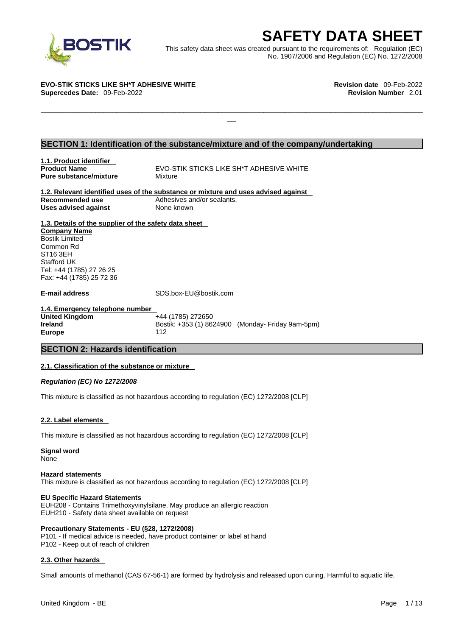

EXECRETY DATA SHEET<br>
Et was created pursuant to the requirements of: Regulation (EC)<br>
No. 1907/2006 and Regulation (EC) No. 1272/2008<br>
Revision date 09-Feb-2022<br>
Revision Number 2.01 This safety data sheet was created pursuant to the requirements of: Regulation (EC) No. 1907/2006 and Regulation (EC) No. 1272/2008

 $\Box$ 

**EVO-STIK STICKS LIKE SH\*T ADHESIVE WHITE Revision date** 09-Feb-2022 **Supercedes Date:** 09-Feb-2022 **Revision Number** 2.01

#### **SECTION 1: Identification of the substance/mixture and of the company/undertaking**

**1.1. Product identifier Pure substance/mixture Mixture** 

**Product Name <b>EVO-STIK STICKS LIKE SH**\*T ADHESIVE WHITE

**1.2. Relevant identified uses of the substance or mixture and uses advised against Recommended use** Adhesives and/or sealants. **Uses advised against** None known

**1.3. Details of the supplier of the safety data sheet Company Name** Bostik Limited Common Rd ST16 3EH Stafford UK Tel: +44 (1785) 27 26 25 Fax: +44 (1785) 25 72 36

**E-mail address** SDS.box-EU@bostik.com

**1.4. Emergency telephone number United Kingdom** +44 (1785) 272650 **Ireland Bostik: +353 (1) 8624900 (Monday- Friday 9am-5pm) Europe** 112

#### **SECTION 2: Hazards identification**

#### **2.1. Classification of the substance or mixture**

*Regulation (EC) No 1272/2008* 

This mixture is classified as not hazardous according to regulation (EC) 1272/2008 [CLP]

#### **2.2. Label elements**

This mixture is classified as not hazardous according to regulation (EC) 1272/2008 [CLP]

**Signal word** None

#### **Hazard statements**

This mixture is classified as not hazardous according to regulation (EC) 1272/2008 [CLP]

#### **EU Specific Hazard Statements**

EUH208 - Contains Trimethoxyvinylsilane. May produce an allergic reaction EUH210 - Safety data sheet available on request

#### **Precautionary Statements - EU (§28, 1272/2008)**

P101 - If medical advice is needed, have product container or label at hand P102 - Keep out of reach of children

#### **2.3. Other hazards**

Small amounts of methanol (CAS 67-56-1) are formed by hydrolysis and released upon curing. Harmful to aquatic life.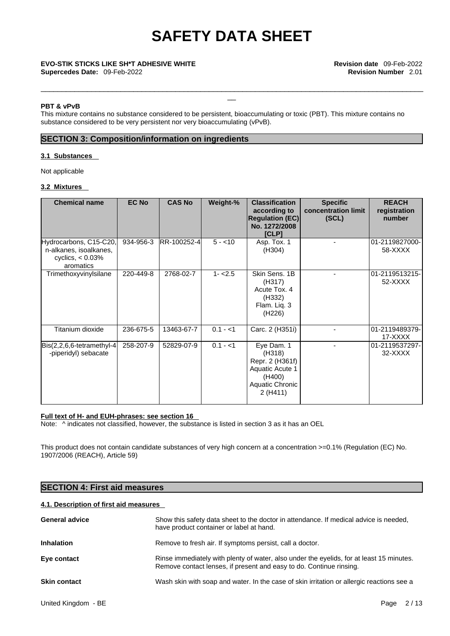\_\_\_\_\_\_\_\_\_\_\_\_\_\_\_\_\_\_\_\_\_\_\_\_\_\_\_\_\_\_\_\_\_\_\_\_\_\_\_\_\_\_\_\_\_\_\_\_\_\_\_\_\_\_\_\_\_\_\_\_\_\_\_\_\_\_\_\_\_\_\_\_\_\_\_\_\_\_\_\_\_\_\_\_\_\_\_\_\_\_\_

#### **PBT & vPvB**

This mixture contains no substance considered to be persistent, bioaccumulating or toxic (PBT). This mixture contains no substance considered to be very persistent nor very bioaccumulating (vPvB).

#### **SECTION 3: Composition/information on ingredients**

#### **3.1 Substances**

Not applicable

#### **3.2 Mixtures**

| <b>Chemical name</b>                                                                 | <b>EC No</b> | <b>CAS No</b> | Weight-%  | <b>Classification</b><br>according to<br><b>Regulation (EC)</b><br>No. 1272/2008<br>[CLP]           | <b>Specific</b><br>concentration limit<br>(SCL) | <b>REACH</b><br>registration<br>number |
|--------------------------------------------------------------------------------------|--------------|---------------|-----------|-----------------------------------------------------------------------------------------------------|-------------------------------------------------|----------------------------------------|
| Hydrocarbons, C15-C20,<br>n-alkanes, isoalkanes,<br>cyclics, $< 0.03\%$<br>aromatics | 934-956-3    | RR-100252-4   | $5 - 10$  | Asp. Tox. 1<br>(H304)                                                                               |                                                 | 01-2119827000-<br>58-XXXX              |
| Trimethoxyvinylsilane                                                                | 220-449-8    | 2768-02-7     | $1 - 2.5$ | Skin Sens, 1B<br>(H317)<br>Acute Tox, 4<br>(H332)<br>Flam. Liq. 3<br>(H226)                         |                                                 | 01-2119513215-<br>52-XXXX              |
| Titanium dioxide                                                                     | 236-675-5    | 13463-67-7    | $0.1 - 1$ | Carc. 2 (H351i)                                                                                     |                                                 | 01-2119489379-<br>17-XXXX              |
| $\left  Bis(2,2,6,6\text{-tetramethyl-4}\right $<br>-piperidyl) sebacate             | 258-207-9    | 52829-07-9    | $0.1 - 1$ | Eye Dam. 1<br>(H318)<br>Repr. 2 (H361f)<br>Aquatic Acute 1<br>(H400)<br>Aquatic Chronic<br>2 (H411) |                                                 | 01-2119537297-<br>32-XXXX              |

#### **Full text of H- and EUH-phrases: see section 16**

Note:  $\wedge$  indicates not classified, however, the substance is listed in section 3 as it has an OEL

This product does not contain candidate substances of very high concern at a concentration >=0.1% (Regulation (EC) No. 1907/2006 (REACH), Article 59)

#### **SECTION 4: First aid measures**

#### **4.1. Description of first aid measures**

| <b>General advice</b> | Show this safety data sheet to the doctor in attendance. If medical advice is needed,<br>have product container or label at hand.                               |
|-----------------------|-----------------------------------------------------------------------------------------------------------------------------------------------------------------|
| <b>Inhalation</b>     | Remove to fresh air. If symptoms persist, call a doctor.                                                                                                        |
| Eye contact           | Rinse immediately with plenty of water, also under the eyelids, for at least 15 minutes.<br>Remove contact lenses, if present and easy to do. Continue rinsing. |
| <b>Skin contact</b>   | Wash skin with soap and water. In the case of skin irritation or allergic reactions see a                                                                       |
|                       |                                                                                                                                                                 |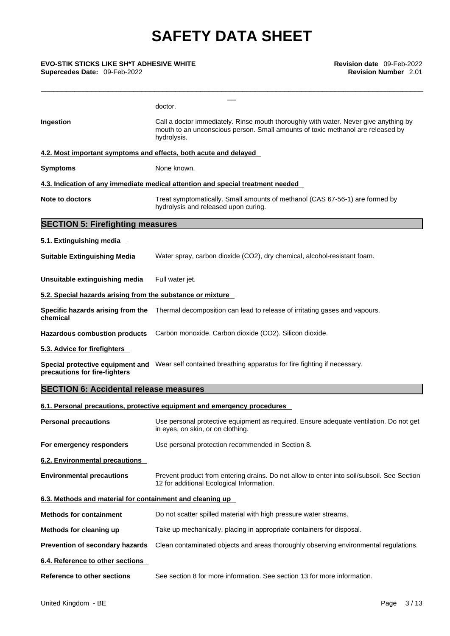**Supercedes Date:** 09-Feb-2022 **Revision Number** 2.01

| <b>EVO-STIK STICKS LIKE SH*T ADHESIVE WHITE</b><br>Supercedes Date: 09-Feb-2022 | Revision date 09-Feb-2022<br><b>Revision Number</b> 2.01                                                                                                                               |
|---------------------------------------------------------------------------------|----------------------------------------------------------------------------------------------------------------------------------------------------------------------------------------|
|                                                                                 | doctor.                                                                                                                                                                                |
| Ingestion                                                                       | Call a doctor immediately. Rinse mouth thoroughly with water. Never give anything by<br>mouth to an unconscious person. Small amounts of toxic methanol are released by<br>hydrolysis. |
|                                                                                 | 4.2. Most important symptoms and effects, both acute and delayed                                                                                                                       |
| <b>Symptoms</b>                                                                 | None known.                                                                                                                                                                            |
|                                                                                 | 4.3. Indication of any immediate medical attention and special treatment needed                                                                                                        |
| <b>Note to doctors</b>                                                          | Treat symptomatically. Small amounts of methanol (CAS 67-56-1) are formed by<br>hydrolysis and released upon curing.                                                                   |
| <b>SECTION 5: Firefighting measures</b>                                         |                                                                                                                                                                                        |
| 5.1. Extinguishing media                                                        |                                                                                                                                                                                        |
| <b>Suitable Extinguishing Media</b>                                             | Water spray, carbon dioxide (CO2), dry chemical, alcohol-resistant foam.                                                                                                               |
| Unsuitable extinguishing media                                                  | Full water jet.                                                                                                                                                                        |
| 5.2. Special hazards arising from the substance or mixture                      |                                                                                                                                                                                        |
| chemical                                                                        | Specific hazards arising from the Thermal decomposition can lead to release of irritating gases and vapours.                                                                           |
|                                                                                 | Hazardous combustion products Carbon monoxide. Carbon dioxide (CO2). Silicon dioxide.                                                                                                  |
| 5.3. Advice for firefighters                                                    |                                                                                                                                                                                        |
| precautions for fire-fighters                                                   | Special protective equipment and Wear self contained breathing apparatus for fire fighting if necessary.                                                                               |
| <b>SECTION 6: Accidental release measures</b>                                   |                                                                                                                                                                                        |
|                                                                                 | 6.1. Personal precautions, protective equipment and emergency procedures                                                                                                               |
| <b>Personal precautions</b>                                                     | Use personal protective equipment as required. Ensure adequate ventilation. Do not get<br>in eyes, on skin, or on clothing.                                                            |
| For emergency responders                                                        | Use personal protection recommended in Section 8.                                                                                                                                      |
| 6.2. Environmental precautions                                                  |                                                                                                                                                                                        |
| <b>Environmental precautions</b>                                                | Prevent product from entering drains. Do not allow to enter into soil/subsoil. See Section<br>12 for additional Ecological Information.                                                |
| 6.3. Methods and material for containment and cleaning up                       |                                                                                                                                                                                        |
| <b>Methods for containment</b>                                                  | Do not scatter spilled material with high pressure water streams.                                                                                                                      |
| Methods for cleaning up                                                         | Take up mechanically, placing in appropriate containers for disposal.                                                                                                                  |
| Prevention of secondary hazards                                                 | Clean contaminated objects and areas thoroughly observing environmental regulations.                                                                                                   |
| 6.4. Reference to other sections                                                |                                                                                                                                                                                        |
| <b>Reference to other sections</b>                                              | See section 8 for more information. See section 13 for more information.                                                                                                               |
|                                                                                 |                                                                                                                                                                                        |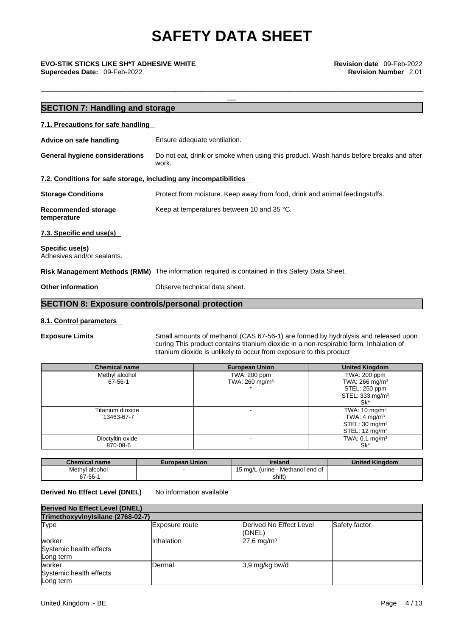\_\_\_\_\_\_\_\_\_\_\_\_\_\_\_\_\_\_\_\_\_\_\_\_\_\_\_\_\_\_\_\_\_\_\_\_\_\_\_\_\_\_\_\_\_\_\_\_\_\_\_\_\_\_\_\_\_\_\_\_\_\_\_\_\_\_\_\_\_\_\_\_\_\_\_\_\_\_\_\_\_\_\_\_\_\_\_\_\_\_\_

\_\_ **EVO-STIK STICKS LIKE SH\*T ADHESIVE WHITE Revision date** 09-Feb-2022 **Supercedes Date:** 09-Feb-2022 **Revision Number** 2.01

|                                                                   | <b>SECTION 7: Handling and storage</b>                                                          |  |  |  |  |
|-------------------------------------------------------------------|-------------------------------------------------------------------------------------------------|--|--|--|--|
| 7.1. Precautions for safe handling                                |                                                                                                 |  |  |  |  |
| Advice on safe handling                                           | Ensure adequate ventilation.                                                                    |  |  |  |  |
| <b>General hygiene considerations</b>                             | Do not eat, drink or smoke when using this product. Wash hands before breaks and after<br>work. |  |  |  |  |
| 7.2. Conditions for safe storage, including any incompatibilities |                                                                                                 |  |  |  |  |
| <b>Storage Conditions</b>                                         | Protect from moisture. Keep away from food, drink and animal feedingstuffs.                     |  |  |  |  |
| Recommended storage<br>temperature                                | Keep at temperatures between 10 and 35 °C.                                                      |  |  |  |  |
| 7.3. Specific end use(s)                                          |                                                                                                 |  |  |  |  |
| Specific use(s)<br>Adhesives and/or sealants.                     |                                                                                                 |  |  |  |  |
|                                                                   | Risk Management Methods (RMM) The information required is contained in this Safety Data Sheet.  |  |  |  |  |
| <b>Other information</b>                                          | Observe technical data sheet.                                                                   |  |  |  |  |
|                                                                   |                                                                                                 |  |  |  |  |

### **SECTION 8: Exposure controls/personal protection**

#### **8.1. Control parameters**

**Exposure Limits** Small amounts of methanol (CAS 67-56-1) are formed by hydrolysis and released upon curing This product contains titanium dioxide in a non-respirable form. Inhalation of titanium dioxide is unlikely to occur from exposure to this product

| <b>Chemical name</b> | <b>European Union</b>     | <b>United Kingdom</b>        |
|----------------------|---------------------------|------------------------------|
| Methyl alcohol       | TWA: 200 ppm              | TWA: 200 ppm                 |
| 67-56-1              | TWA: $260 \text{ mg/m}^3$ | TWA: $266$ mg/m <sup>3</sup> |
|                      |                           | STEL: 250 ppm                |
|                      |                           | STEL: 333 mg/m <sup>3</sup>  |
|                      |                           | Sk*                          |
| Titanium dioxide     |                           | TWA: $10 \text{ mg/m}^3$     |
| 13463-67-7           |                           | TWA: $4 \text{ mg/m}^3$      |
|                      |                           | STEL: $30 \text{ mg/m}^3$    |
|                      |                           | STEL: $12 \text{ mg/m}^3$    |
| Dioctyltin oxide     |                           | TWA: $0.1 \text{ mg/m}^3$    |
| 870-08-6             |                           | Sk*                          |

| <b>Chemical name</b> | <b>European Union</b> | <b>Ireland</b>                   | <b>United Kinadom</b> |
|----------------------|-----------------------|----------------------------------|-----------------------|
| Methyl alcohol       |                       | 15 mg/L (urine - Methanol end of |                       |
| $67 - 56 - 1$        |                       | shift`                           |                       |

#### **Derived No Effect Level (DNEL)** No information available

| Derived No Effect Level (DNEL)                 |                       |                                            |               |  |
|------------------------------------------------|-----------------------|--------------------------------------------|---------------|--|
| Trimethoxyvinylsilane (2768-02-7)              |                       |                                            |               |  |
| Type                                           | <b>Exposure route</b> | <b>IDerived No Effect Level</b><br>((DNEL) | Safety factor |  |
| worker<br>Systemic health effects<br>Long term | Inhalation            | $27,6$ mg/m <sup>3</sup>                   |               |  |
| worker<br>Systemic health effects<br>Long term | Dermal                | 3,9 mg/kg bw/d                             |               |  |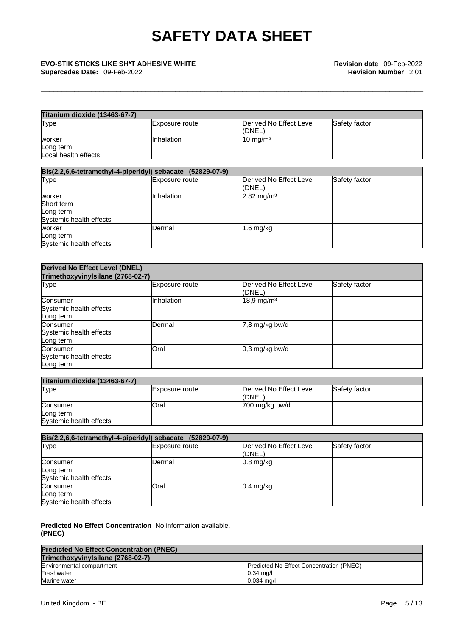# \_\_ **EVO-STIK STICKS LIKE SH\*T ADHESIVE WHITE Revision date** 09-Feb-2022 **Supercedes Date:** 09-Feb-2022 **Revision Number** 2.01

| <b>Titanium dioxide (13463-67-7)</b> |                |                         |               |
|--------------------------------------|----------------|-------------------------|---------------|
| Type                                 | Exposure route | Derived No Effect Level | Safety factor |
|                                      |                | (DNEL)                  |               |
| worker                               | Inhalation     | $10 \text{ mg/m}^3$     |               |
| Long term                            |                |                         |               |
| Local health effects                 |                |                         |               |

\_\_\_\_\_\_\_\_\_\_\_\_\_\_\_\_\_\_\_\_\_\_\_\_\_\_\_\_\_\_\_\_\_\_\_\_\_\_\_\_\_\_\_\_\_\_\_\_\_\_\_\_\_\_\_\_\_\_\_\_\_\_\_\_\_\_\_\_\_\_\_\_\_\_\_\_\_\_\_\_\_\_\_\_\_\_\_\_\_\_\_

| Bis(2,2,6,6-tetramethyl-4-piperidyl) sebacate (52829-07-9) |                   |                                    |               |  |  |
|------------------------------------------------------------|-------------------|------------------------------------|---------------|--|--|
| Type                                                       | Exposure route    | Derived No Effect Level<br>l(DNEL) | Safety factor |  |  |
| worker                                                     | <b>Inhalation</b> | $2.82 \text{ mg/m}^3$              |               |  |  |
| Short term                                                 |                   |                                    |               |  |  |
| Long term                                                  |                   |                                    |               |  |  |
| Systemic health effects                                    |                   |                                    |               |  |  |
| worker                                                     | Dermal            | $1.6$ mg/kg                        |               |  |  |
| Long term                                                  |                   |                                    |               |  |  |
| Systemic health effects                                    |                   |                                    |               |  |  |

| <b>Derived No Effect Level (DNEL)</b>            |                |                                   |               |  |  |
|--------------------------------------------------|----------------|-----------------------------------|---------------|--|--|
| Trimethoxyvinylsilane (2768-02-7)                |                |                                   |               |  |  |
| Type                                             | Exposure route | Derived No Effect Level<br>(DNEL) | Safety factor |  |  |
| Consumer<br>Systemic health effects<br>Long term | Inhalation     | $18,9$ mg/m <sup>3</sup>          |               |  |  |
| Consumer<br>Systemic health effects<br>Long term | Dermal         | $7,8$ mg/kg bw/d                  |               |  |  |
| Consumer<br>Systemic health effects<br>Long term | Oral           | $0,3$ mg/kg bw/d                  |               |  |  |

| <b>Titanium dioxide (13463-67-7)</b> |                |                         |                      |
|--------------------------------------|----------------|-------------------------|----------------------|
| Type                                 | Exposure route | Derived No Effect Level | <b>Safety factor</b> |
|                                      |                | (DNEL)                  |                      |
| Consumer                             | Oral           | 700 mg/kg bw/d          |                      |
| Long term                            |                |                         |                      |
| Systemic health effects              |                |                         |                      |

| Bis(2,2,6,6-tetramethyl-4-piperidyl) sebacate (52829-07-9) |                       |                                            |               |  |
|------------------------------------------------------------|-----------------------|--------------------------------------------|---------------|--|
| Type                                                       | <b>Exposure route</b> | <b>IDerived No Effect Level</b><br>l(DNEL) | Safety factor |  |
| Consumer<br>Long term<br>Systemic health effects           | <b>IDermal</b>        | $0.8$ mg/kg                                |               |  |
| Consumer<br>Long term<br>Systemic health effects           | <b>Oral</b>           | $0.4$ mg/kg                                |               |  |

**Predicted No Effect Concentration** No information available. **(PNEC)** 

| <b>Predicted No Effect Concentration (PNEC)</b> |                                                  |  |
|-------------------------------------------------|--------------------------------------------------|--|
| Trimethoxyvinylsilane (2768-02-7)               |                                                  |  |
| Environmental compartment                       | <b>IPredicted No Effect Concentration (PNEC)</b> |  |
| Freshwater                                      | $0.34 \text{ ma/l}$                              |  |
| Marine water                                    | $0.034$ ma/l                                     |  |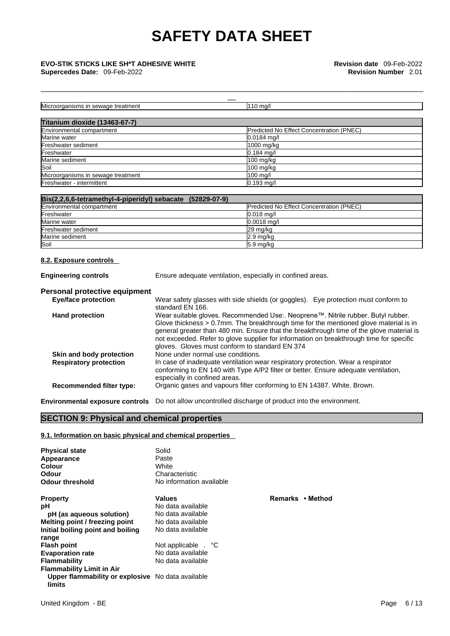| <b>EVO-STIK STICKS LIKE SH*T ADHESIVE WHITE</b><br>Supercedes Date: 09-Feb-2022 | Revision date 09-Feb-2022<br><b>Revision Number 2.01</b> |  |
|---------------------------------------------------------------------------------|----------------------------------------------------------|--|
|                                                                                 |                                                          |  |
| Microorganisms in sewage treatment                                              | $110$ mg/l                                               |  |
| Titanium dioxide (13463-67-7)                                                   |                                                          |  |
| Environmental compartment                                                       | <b>Predicted No Effect Concentration (PNEC)</b>          |  |
| Marine water                                                                    | $0.0184$ ma/l                                            |  |
| Freshwater sediment                                                             | 1000 mg/kg                                               |  |
| Freshwater                                                                      | $0.184$ mg/l                                             |  |
| Marine sediment                                                                 | $100$ mg/kg                                              |  |
| Soil                                                                            | $100$ mg/kg                                              |  |
| Microorganisms in sewage treatment                                              | $100 \text{ mg/l}$                                       |  |
| Freshwater - intermittent                                                       | $0.193$ mg/l                                             |  |

\_\_\_\_\_\_\_\_\_\_\_\_\_\_\_\_\_\_\_\_\_\_\_\_\_\_\_\_\_\_\_\_\_\_\_\_\_\_\_\_\_\_\_\_\_\_\_\_\_\_\_\_\_\_\_\_\_\_\_\_\_\_\_\_\_\_\_\_\_\_\_\_\_\_\_\_\_\_\_\_\_\_\_\_\_\_\_\_\_\_\_

| Bis(2,2,6,6-tetramethyl-4-piperidyl) sebacate (52829-07-9) |
|------------------------------------------------------------|
|------------------------------------------------------------|

| Environmental compartment | <b>Predicted No Effect Concentration (PNEC)</b> |
|---------------------------|-------------------------------------------------|
| Freshwater                | $0.018$ ma/                                     |
| Marine water              | $0.0018$ mg/l                                   |
| Freshwater sediment       | 29 mg/kg                                        |
| Marine sediment           | $2.9 \text{ mg/kg}$                             |
| Soil                      | $5.9 \text{ mg/kg}$                             |

#### **8.2. Exposure controls**

**Engineering controls** Ensure adequate ventilation, especially in confined areas.

### **Personal protective equipment**

| <b>Eye/face protection</b>      | Wear safety glasses with side shields (or goggles). Eye protection must conform to<br>standard EN 166.                                                                                                                                                                                                                                                                                                                |  |
|---------------------------------|-----------------------------------------------------------------------------------------------------------------------------------------------------------------------------------------------------------------------------------------------------------------------------------------------------------------------------------------------------------------------------------------------------------------------|--|
| <b>Hand protection</b>          | Wear suitable gloves. Recommended Use:. Neoprene™. Nitrile rubber. Butyl rubber.<br>Glove thickness $> 0.7$ mm. The breakthrough time for the mentioned glove material is in<br>general greater than 480 min. Ensure that the breakthrough time of the glove material is<br>not exceeded. Refer to glove supplier for information on breakthrough time for specific<br>gloves. Gloves must conform to standard EN 374 |  |
| Skin and body protection        | None under normal use conditions.                                                                                                                                                                                                                                                                                                                                                                                     |  |
| <b>Respiratory protection</b>   | In case of inadequate ventilation wear respiratory protection. Wear a respirator                                                                                                                                                                                                                                                                                                                                      |  |
|                                 | conforming to EN 140 with Type A/P2 filter or better. Ensure adequate ventilation,<br>especially in confined areas.                                                                                                                                                                                                                                                                                                   |  |
| <b>Recommended filter type:</b> | Organic gases and vapours filter conforming to EN 14387. White. Brown.                                                                                                                                                                                                                                                                                                                                                |  |
|                                 |                                                                                                                                                                                                                                                                                                                                                                                                                       |  |

**Environmental exposure controls** Do not allow uncontrolled discharge of product into the environment.

### **SECTION 9: Physical and chemical properties**

#### **9.1. Information on basic physical and chemical properties**

| <b>Physical state</b><br>Appearance<br>Colour<br>Odour<br><b>Odour threshold</b> | Solid<br>Paste<br>White<br>Characteristic<br>No information available |                  |
|----------------------------------------------------------------------------------|-----------------------------------------------------------------------|------------------|
| <b>Property</b>                                                                  | <b>Values</b>                                                         | Remarks • Method |
| рH                                                                               | No data available                                                     |                  |
| pH (as aqueous solution)                                                         | No data available                                                     |                  |
| Melting point / freezing point                                                   | No data available                                                     |                  |
| Initial boiling point and boiling                                                | No data available                                                     |                  |
| range                                                                            |                                                                       |                  |
| <b>Flash point</b>                                                               | Not applicable . °C                                                   |                  |
| <b>Evaporation rate</b>                                                          | No data available                                                     |                  |
| <b>Flammability</b>                                                              | No data available                                                     |                  |
| <b>Flammability Limit in Air</b>                                                 |                                                                       |                  |
| Upper flammability or explosive No data available<br>limits                      |                                                                       |                  |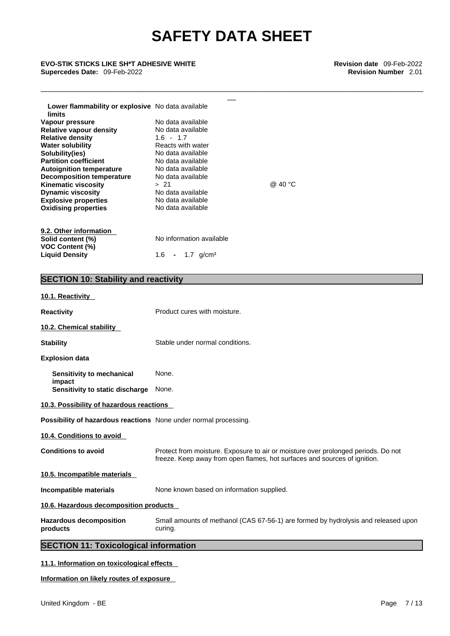\_\_\_\_\_\_\_\_\_\_\_\_\_\_\_\_\_\_\_\_\_\_\_\_\_\_\_\_\_\_\_\_\_\_\_\_\_\_\_\_\_\_\_\_\_\_\_\_\_\_\_\_\_\_\_\_\_\_\_\_\_\_\_\_\_\_\_\_\_\_\_\_\_\_\_\_\_\_\_\_\_\_\_\_\_\_\_\_\_\_\_

# \_\_ **EVO-STIK STICKS LIKE SH\*T ADHESIVE WHITE Revision date** 09-Feb-2022 **Supercedes Date:** 09-Feb-2022 **Revision Number** 2.01

| Lower flammability or explosive No data available<br>limits                                                                                                                                                                                                                                                                                 |                                                                                                                                                                                                                                      |         |
|---------------------------------------------------------------------------------------------------------------------------------------------------------------------------------------------------------------------------------------------------------------------------------------------------------------------------------------------|--------------------------------------------------------------------------------------------------------------------------------------------------------------------------------------------------------------------------------------|---------|
| Vapour pressure<br>Relative vapour density<br><b>Relative density</b><br><b>Water solubility</b><br>Solubility(ies)<br><b>Partition coefficient</b><br><b>Autoignition temperature</b><br>Decomposition temperature<br><b>Kinematic viscosity</b><br><b>Dynamic viscosity</b><br><b>Explosive properties</b><br><b>Oxidising properties</b> | No data available<br>No data available<br>$1.6 - 1.7$<br>Reacts with water<br>No data available<br>No data available<br>No data available<br>No data available<br>>21<br>No data available<br>No data available<br>No data available | @ 40 °C |
| 9.2. Other information<br>Solid content (%)<br><b>VOC Content (%)</b><br><b>Liquid Density</b>                                                                                                                                                                                                                                              | No information available<br>1.6<br>1.7 $q/cm3$<br>$\blacksquare$                                                                                                                                                                     |         |

### **SECTION 10: Stability and reactivity**

| products<br><b>SECTION 11: Toxicological information</b>                | curing.                                                                                                                                                        |
|-------------------------------------------------------------------------|----------------------------------------------------------------------------------------------------------------------------------------------------------------|
| <b>Hazardous decomposition</b>                                          | Small amounts of methanol (CAS 67-56-1) are formed by hydrolysis and released upon                                                                             |
| 10.6. Hazardous decomposition products                                  |                                                                                                                                                                |
| Incompatible materials                                                  | None known based on information supplied.                                                                                                                      |
| 10.5. Incompatible materials                                            |                                                                                                                                                                |
| <b>Conditions to avoid</b>                                              | Protect from moisture. Exposure to air or moisture over prolonged periods. Do not<br>freeze. Keep away from open flames, hot surfaces and sources of ignition. |
| 10.4. Conditions to avoid                                               |                                                                                                                                                                |
| <b>Possibility of hazardous reactions</b> None under normal processing. |                                                                                                                                                                |
| 10.3. Possibility of hazardous reactions                                |                                                                                                                                                                |
| Sensitivity to static discharge                                         | None.                                                                                                                                                          |
| Sensitivity to mechanical<br>impact                                     | None.                                                                                                                                                          |
| <b>Explosion data</b>                                                   |                                                                                                                                                                |
| <b>Stability</b>                                                        | Stable under normal conditions.                                                                                                                                |
| 10.2. Chemical stability                                                |                                                                                                                                                                |
| <b>Reactivity</b>                                                       | Product cures with moisture.                                                                                                                                   |
| 10.1. Reactivity                                                        |                                                                                                                                                                |

### **11.1. Information on toxicological effects**

#### **Information on likely routes of exposure**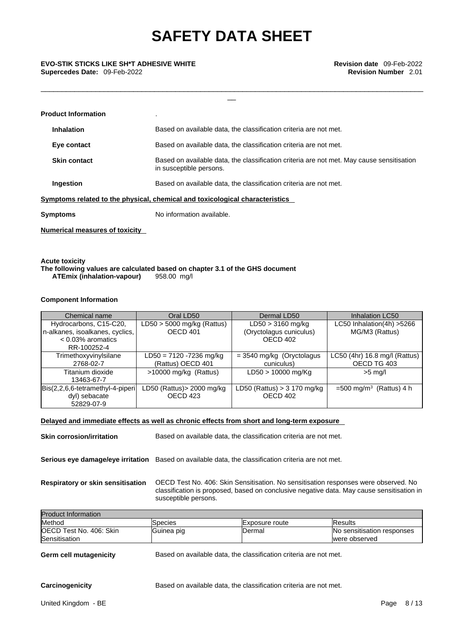\_\_\_\_\_\_\_\_\_\_\_\_\_\_\_\_\_\_\_\_\_\_\_\_\_\_\_\_\_\_\_\_\_\_\_\_\_\_\_\_\_\_\_\_\_\_\_\_\_\_\_\_\_\_\_\_\_\_\_\_\_\_\_\_\_\_\_\_\_\_\_\_\_\_\_\_\_\_\_\_\_\_\_\_\_\_\_\_\_\_\_

\_\_ **EVO-STIK STICKS LIKE SH\*T ADHESIVE WHITE Revision date** 09-Feb-2022 **Supercedes Date:** 09-Feb-2022 **Revision Number** 2.01

|                                                                              | <b>Product Information</b>     |                                                                                                                      |
|------------------------------------------------------------------------------|--------------------------------|----------------------------------------------------------------------------------------------------------------------|
|                                                                              | <b>Inhalation</b>              | Based on available data, the classification criteria are not met.                                                    |
|                                                                              | Eye contact                    | Based on available data, the classification criteria are not met.                                                    |
|                                                                              | <b>Skin contact</b>            | Based on available data, the classification criteria are not met. May cause sensitisation<br>in susceptible persons. |
|                                                                              | Ingestion                      | Based on available data, the classification criteria are not met.                                                    |
| Symptoms related to the physical, chemical and toxicological characteristics |                                |                                                                                                                      |
|                                                                              | Symptoms                       | No information available.                                                                                            |
|                                                                              | Numerical measures of toxicity |                                                                                                                      |

**Acute toxicity The following values are calculated based on chapter 3.1 of the GHS document ATEmix (inhalation-vapour)** 

#### **Component Information**

| Chemical name                    | Oral LD50                    | Dermal LD50                   | <b>Inhalation LC50</b>                |
|----------------------------------|------------------------------|-------------------------------|---------------------------------------|
| Hydrocarbons, C15-C20,           | $LD50 > 5000$ mg/kg (Rattus) | $LD50 > 3160$ mg/kg           | LC50 Inhalation(4h) >5266             |
| n-alkanes, isoalkanes, cyclics,  | <b>OECD 401</b>              | (Oryctolagus cuniculus)       | MG/M3 (Rattus)                        |
| $< 0.03\%$ aromatics             |                              | OECD 402                      |                                       |
| RR-100252-4                      |                              |                               |                                       |
| Trimethoxyvinylsilane            | LD50 = 7120 -7236 mg/kg      | $=$ 3540 mg/kg (Oryctolagus   | LC50 (4hr) 16.8 mg/l (Rattus)         |
| 2768-02-7                        | (Rattus) OECD 401            | cuniculus)                    | OECD TG 403                           |
| Titanium dioxide                 | >10000 mg/kg (Rattus)        | LD50 > 10000 mg/Kg            | $>5$ mg/l                             |
| 13463-67-7                       |                              |                               |                                       |
| Bis(2,2,6,6-tetramethyl-4-piperi | LD50 (Rattus)> 2000 mg/kg    | LD50 (Rattus) $>$ 3 170 mg/kg | $=500$ mg/m <sup>3</sup> (Rattus) 4 h |
| dyl) sebacate                    | OECD 423                     | OECD 402                      |                                       |
| 52829-07-9                       |                              |                               |                                       |

#### **Delayed and immediate effects as well as chronic effects from short and long-term exposure**

**Skin corrosion/irritation** Based on available data, the classification criteria are not met.

**Serious eye damage/eye irritation** Based on available data, the classification criteria are not met.

**Respiratory or skin sensitisation** OECD Test No. 406: Skin Sensitisation. No sensitisation responses were observed. No classification is proposed, based on conclusive negative data. May cause sensitisation in susceptible persons.

| <b>Product Information</b>      |            |                        |                            |  |
|---------------------------------|------------|------------------------|----------------------------|--|
| Method                          | ISpecies   | <b>IExposure</b> route | <b>Results</b>             |  |
| <b>IOECD Test No. 406: Skin</b> | Guinea pig | IDermal                | No sensitisation responses |  |
| Sensitisation                   |            |                        | were observed              |  |

**Germ cell mutagenicity** Based on available data, the classification criteria are not met.

**Carcinogenicity** Based on available data, the classification criteria are not met.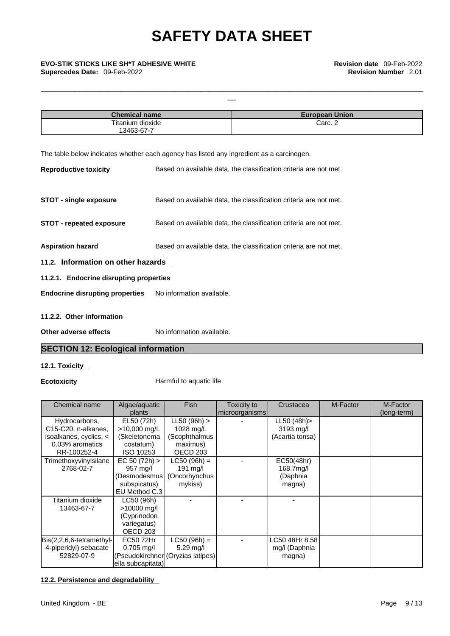# \_\_ **EVO-STIK STICKS LIKE SH\*T ADHESIVE WHITE Revision date** 09-Feb-2022

| <b>Chemical name</b> | <b>European Union</b> |
|----------------------|-----------------------|
| Titanium dioxide     | Carc. 2               |
| 13463-67-7           |                       |

\_\_\_\_\_\_\_\_\_\_\_\_\_\_\_\_\_\_\_\_\_\_\_\_\_\_\_\_\_\_\_\_\_\_\_\_\_\_\_\_\_\_\_\_\_\_\_\_\_\_\_\_\_\_\_\_\_\_\_\_\_\_\_\_\_\_\_\_\_\_\_\_\_\_\_\_\_\_\_\_\_\_\_\_\_\_\_\_\_\_\_

The table below indicates whether each agency has listed any ingredient as a carcinogen.

| <b>Reproductive toxicity</b>            | Based on available data, the classification criteria are not met. |
|-----------------------------------------|-------------------------------------------------------------------|
| <b>STOT - single exposure</b>           | Based on available data, the classification criteria are not met. |
| <b>STOT - repeated exposure</b>         | Based on available data, the classification criteria are not met. |
| <b>Aspiration hazard</b>                | Based on available data, the classification criteria are not met. |
| 11.2. Information on other hazards      |                                                                   |
| 11.2.1. Endocrine disrupting properties |                                                                   |
| <b>Endocrine disrupting properties</b>  | No information available.                                         |
| 11.2.2. Other information               |                                                                   |
| Other adverse effects                   | No information available.                                         |

### **SECTION 12: Ecological information**

#### **12.1. Toxicity**

**Ecotoxicity Harmful to aquatic life.** 

| Chemical name            | Algae/aquatic                     | <b>Fish</b>         | Toxicity to    | Crustacea       | M-Factor | M-Factor    |  |
|--------------------------|-----------------------------------|---------------------|----------------|-----------------|----------|-------------|--|
|                          | plants                            |                     | microorganisms |                 |          | (long-term) |  |
| Hydrocarbons,            | EL50 (72h)                        | LL50 (96h) >        |                | LL50 (48h)>     |          |             |  |
| C15-C20, n-alkanes,      | >10,000 mg/L                      | 1028 mg/L           |                | 3193 mg/l       |          |             |  |
| isoalkanes, cyclics, <   | (Skeletonema                      | (Scophthalmus       |                | (Acartia tonsa) |          |             |  |
| 0.03% aromatics          | costatum)                         | maximus)            |                |                 |          |             |  |
| RR-100252-4              | ISO 10253                         | OECD <sub>203</sub> |                |                 |          |             |  |
| Trimethoxyvinylsilane    | EC 50 (72h)                       | $LC50 (96h) =$      |                | EC50(48hr)      |          |             |  |
| 2768-02-7                | 957 mg/l                          | $191$ mg/l          |                | 168.7mg/l       |          |             |  |
|                          | (Desmodesmus                      | (Oncorhynchus       |                | (Daphnia        |          |             |  |
|                          | subspicatus)                      | mykiss)             |                | magna)          |          |             |  |
|                          | EU Method C.3                     |                     |                |                 |          |             |  |
| Titanium dioxide         | LC50 (96h)                        |                     |                |                 |          |             |  |
| 13463-67-7               | >10000 mg/l                       |                     |                |                 |          |             |  |
|                          | (Cyprinodon                       |                     |                |                 |          |             |  |
|                          | variegatus)                       |                     |                |                 |          |             |  |
|                          | <b>OECD 203</b>                   |                     |                |                 |          |             |  |
| Bis(2,2,6,6-tetramethyl- | EC50 72Hr                         | $LC50 (96h) =$      |                | LC50 48Hr 8.58  |          |             |  |
| 4-piperidyl) sebacate    | $0.705$ mg/l                      | $5.29$ mg/l         |                | mg/l (Daphnia   |          |             |  |
| 52829-07-9               | (Pseudokirchner (Oryzias latipes) |                     |                | magna)          |          |             |  |
|                          | ella subcapitata)                 |                     |                |                 |          |             |  |

#### **12.2. Persistence and degradability**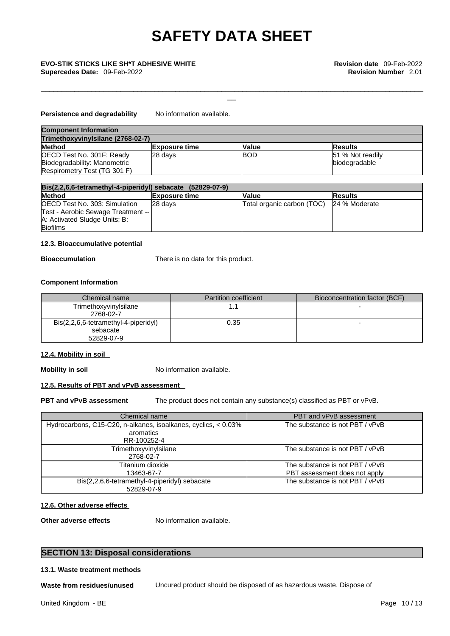\_\_\_\_\_\_\_\_\_\_\_\_\_\_\_\_\_\_\_\_\_\_\_\_\_\_\_\_\_\_\_\_\_\_\_\_\_\_\_\_\_\_\_\_\_\_\_\_\_\_\_\_\_\_\_\_\_\_\_\_\_\_\_\_\_\_\_\_\_\_\_\_\_\_\_\_\_\_\_\_\_\_\_\_\_\_\_\_\_\_\_

# \_\_ **EVO-STIK STICKS LIKE SH\*T ADHESIVE WHITE Revision date** 09-Feb-2022

#### **Persistence and degradability** No information available.

| <b>Component Information</b>      |                      |              |                   |  |
|-----------------------------------|----------------------|--------------|-------------------|--|
| Trimethoxyvinylsilane (2768-02-7) |                      |              |                   |  |
| <b>Method</b>                     | <b>Exposure time</b> | <b>Value</b> | <b>Results</b>    |  |
| OECD Test No. 301F: Ready         | 28 days              | <b>IBOD</b>  | 151 % Not readily |  |
| Biodegradability: Manometric      |                      |              | biodegradable     |  |
| Respirometry Test (TG 301 F)      |                      |              |                   |  |

| $Bis(2,2,6,6-tetramethyl-4-piperidy!)$ sebacate $(52829-07-9)$ |                      |                            |                |  |
|----------------------------------------------------------------|----------------------|----------------------------|----------------|--|
| <b>Method</b>                                                  | <b>Exposure time</b> | Value                      | <b>Results</b> |  |
| OECD Test No. 303: Simulation                                  | 28 davs              | Total organic carbon (TOC) | 24 % Moderate  |  |
| Test - Aerobic Sewage Treatment --                             |                      |                            |                |  |
| A: Activated Sludge Units; B:                                  |                      |                            |                |  |
| <b>Biofilms</b>                                                |                      |                            |                |  |

#### **12.3. Bioaccumulative potential**

**Bioaccumulation** There is no data for this product.

#### **Component Information**

| Chemical name                        | <b>Partition coefficient</b> | Bioconcentration factor (BCF) |
|--------------------------------------|------------------------------|-------------------------------|
| Trimethoxyvinylsilane                |                              |                               |
| 2768-02-7                            |                              |                               |
| Bis(2,2,6,6-tetramethyl-4-piperidyl) | 0.35                         |                               |
| sebacate                             |                              |                               |
| 52829-07-9                           |                              |                               |

#### **12.4. Mobility in soil**

**Mobility in soil** No information available.

#### **12.5. Results of PBT and vPvB assessment**

**PBT and vPvB assessment** The product does not contain any substance(s) classified as PBT or vPvB.

| Chemical name                                                                              | PBT and vPvB assessment                                          |
|--------------------------------------------------------------------------------------------|------------------------------------------------------------------|
| Hydrocarbons, C15-C20, n-alkanes, isoalkanes, cyclics, < 0.03%<br>aromatics<br>RR-100252-4 | The substance is not PBT / vPvB                                  |
| Trimethoxyvinylsilane<br>2768-02-7                                                         | The substance is not PBT / vPvB                                  |
| Titanium dioxide<br>13463-67-7                                                             | The substance is not PBT / vPvB<br>PBT assessment does not apply |
| Bis(2,2,6,6-tetramethyl-4-piperidyl) sebacate<br>52829-07-9                                | The substance is not PBT / vPvB                                  |

#### **12.6. Other adverse effects**

**Other adverse effects** No information available.

#### **SECTION 13: Disposal considerations**

#### **13.1. Waste treatment methods**

**Waste from residues/unused** Uncured product should be disposed of as hazardous waste. Dispose of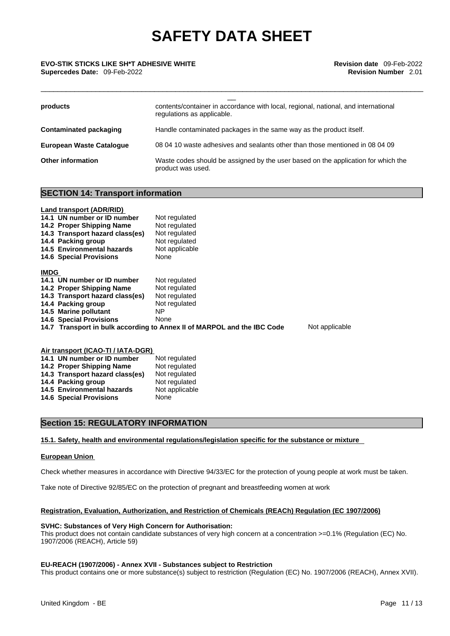\_\_\_\_\_\_\_\_\_\_\_\_\_\_\_\_\_\_\_\_\_\_\_\_\_\_\_\_\_\_\_\_\_\_\_\_\_\_\_\_\_\_\_\_\_\_\_\_\_\_\_\_\_\_\_\_\_\_\_\_\_\_\_\_\_\_\_\_\_\_\_\_\_\_\_\_\_\_\_\_\_\_\_\_\_\_\_\_\_\_\_

# \_\_ **EVO-STIK STICKS LIKE SH\*T ADHESIVE WHITE Revision date** 09-Feb-2022 **Supercedes Date:** 09-Feb-2022 **Revision Number** 2.01

| products                        | contents/container in accordance with local, regional, national, and international<br>regulations as applicable. |
|---------------------------------|------------------------------------------------------------------------------------------------------------------|
| Contaminated packaging          | Handle contaminated packages in the same way as the product itself.                                              |
| <b>European Waste Cataloque</b> | 08 04 10 waste adhesives and sealants other than those mentioned in 08 04 09                                     |
| <b>Other information</b>        | Waste codes should be assigned by the user based on the application for which the<br>product was used.           |

#### **SECTION 14: Transport information**

#### **Land transport (ADR/RID)**

|             | 14.1 UN number or ID number     | Not regulated                                                           |                |
|-------------|---------------------------------|-------------------------------------------------------------------------|----------------|
|             | 14.2 Proper Shipping Name       | Not regulated                                                           |                |
|             | 14.3 Transport hazard class(es) | Not regulated                                                           |                |
|             | 14.4 Packing group              | Not regulated                                                           |                |
|             | 14.5 Environmental hazards      | Not applicable                                                          |                |
|             | <b>14.6 Special Provisions</b>  | None                                                                    |                |
| <b>IMDG</b> |                                 |                                                                         |                |
|             | 14.1 UN number or ID number     | Not regulated                                                           |                |
|             | 14.2 Proper Shipping Name       | Not regulated                                                           |                |
|             | 14.3 Transport hazard class(es) | Not regulated                                                           |                |
|             | 14.4 Packing group              | Not regulated                                                           |                |
|             | 14.5 Marine pollutant           | NP.                                                                     |                |
|             | <b>14.6 Special Provisions</b>  | None                                                                    |                |
|             |                                 | 14.7 Transport in bulk according to Annex II of MARPOL and the IBC Code | Not applicable |
|             |                                 |                                                                         |                |

#### **Air transport (ICAO-TI / IATA-DGR) 14.1 UN number or ID number** Not regulated **14.2 Proper Shipping Name** Not regulated

| 14.3 Transport hazard class(es) | Not regulated  |
|---------------------------------|----------------|
| 14.4 Packing group              | Not regulated  |
| 14.5 Environmental hazards      | Not applicable |
| <b>14.6 Special Provisions</b>  | None           |

#### **Section 15: REGULATORY INFORMATION**

#### **15.1. Safety, health and environmental regulations/legislation specific for the substance or mixture**

#### **European Union**

Check whether measures in accordance with Directive 94/33/EC for the protection of young people at work must be taken.

Take note of Directive 92/85/EC on the protection of pregnant and breastfeeding women at work

#### **Registration, Evaluation, Authorization, and Restriction of Chemicals (REACh) Regulation (EC 1907/2006)**

#### **SVHC: Substances of Very High Concern for Authorisation:**

This product does not contain candidate substances of very high concern at a concentration >=0.1% (Regulation (EC) No. 1907/2006 (REACH), Article 59)

#### **EU-REACH (1907/2006) - Annex XVII - Substances subject to Restriction**

This product contains one or more substance(s) subject to restriction (Regulation (EC) No. 1907/2006 (REACH), Annex XVII).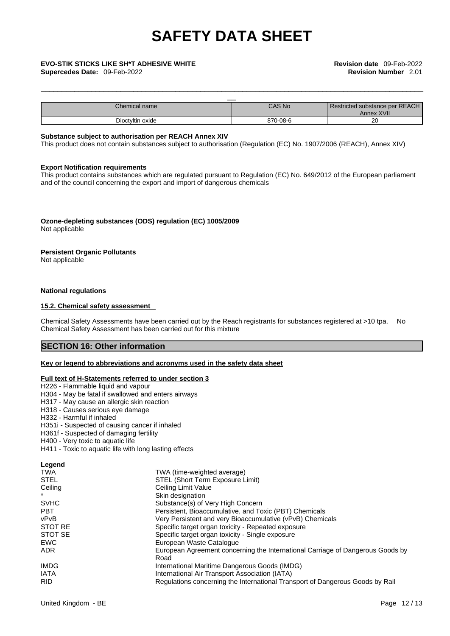| <b>EVO-STIK STICKS LIKE SH*T ADHESIVE WHITE</b><br><b>Supercedes Date: 09-Feb-2022</b> |          | <b>Revision date</b> 09-Feb-2022<br><b>Revision Number 2.01</b> |
|----------------------------------------------------------------------------------------|----------|-----------------------------------------------------------------|
|                                                                                        |          |                                                                 |
| Chemical name                                                                          | CAS No   | Restricted substance per REACH<br>Annex XVII                    |
| Dioctyltin oxide                                                                       | 870-08-6 | 20                                                              |

\_\_\_\_\_\_\_\_\_\_\_\_\_\_\_\_\_\_\_\_\_\_\_\_\_\_\_\_\_\_\_\_\_\_\_\_\_\_\_\_\_\_\_\_\_\_\_\_\_\_\_\_\_\_\_\_\_\_\_\_\_\_\_\_\_\_\_\_\_\_\_\_\_\_\_\_\_\_\_\_\_\_\_\_\_\_\_\_\_\_\_

#### **Substance subject to authorisation per REACH Annex XIV**

This product does not contain substances subject to authorisation (Regulation (EC) No. 1907/2006 (REACH), Annex XIV)

#### **Export Notification requirements**

This product contains substances which are regulated pursuant to Regulation (EC) No. 649/2012 of the European parliament and of the council concerning the export and import of dangerous chemicals

**Ozone-depleting substances (ODS) regulation (EC) 1005/2009** Not applicable

#### **Persistent Organic Pollutants**

Not applicable

#### **National regulations**

#### **15.2. Chemical safety assessment**

Chemical Safety Assessments have been carried out by the Reach registrants for substances registered at >10 tpa. No Chemical Safety Assessment has been carried out for this mixture

### **SECTION 16: Other information**

#### **Key or legend to abbreviations and acronyms used in the safety data sheet**

#### **Full text of H-Statements referred to under section 3**

- H226 Flammable liquid and vapour
- H304 May be fatal if swallowed and enters airways
- H317 May cause an allergic skin reaction
- H318 Causes serious eye damage
- H332 Harmful if inhaled
- H351i Suspected of causing cancer if inhaled
- H361f Suspected of damaging fertility
- H400 Very toxic to aquatic life
- H411 Toxic to aquatic life with long lasting effects

#### **Legend**

| TWA (time-weighted average)                                                    |
|--------------------------------------------------------------------------------|
| STEL (Short Term Exposure Limit)                                               |
| Ceiling Limit Value                                                            |
| Skin designation                                                               |
| Substance(s) of Very High Concern                                              |
| Persistent, Bioaccumulative, and Toxic (PBT) Chemicals                         |
| Very Persistent and very Bioaccumulative (vPvB) Chemicals                      |
| Specific target organ toxicity - Repeated exposure                             |
| Specific target organ toxicity - Single exposure                               |
| European Waste Catalogue                                                       |
| European Agreement concerning the International Carriage of Dangerous Goods by |
| Road                                                                           |
| International Maritime Dangerous Goods (IMDG)                                  |
| International Air Transport Association (IATA)                                 |
| Regulations concerning the International Transport of Dangerous Goods by Rail  |
|                                                                                |